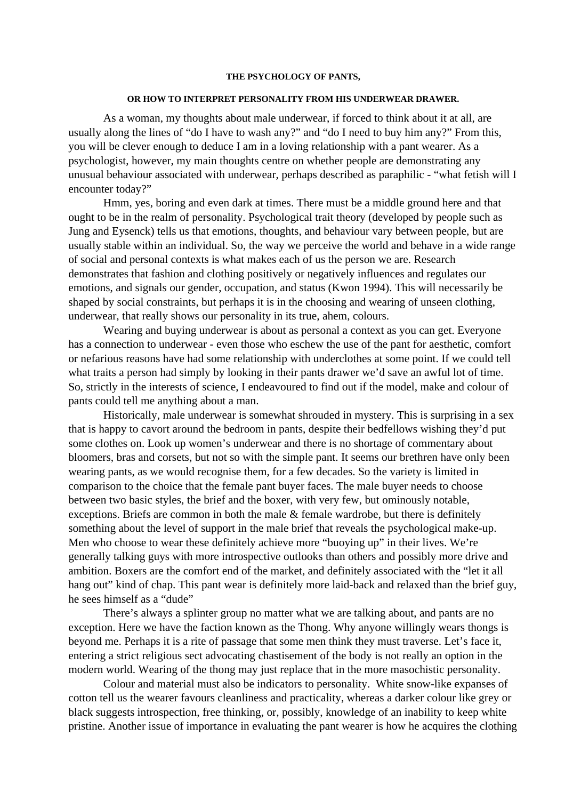## **THE PSYCHOLOGY OF PANTS,**

## **OR HOW TO INTERPRET PERSONALITY FROM HIS UNDERWEAR DRAWER.**

As a woman, my thoughts about male underwear, if forced to think about it at all, are usually along the lines of "do I have to wash any?" and "do I need to buy him any?" From this, you will be clever enough to deduce I am in a loving relationship with a pant wearer. As a psychologist, however, my main thoughts centre on whether people are demonstrating any unusual behaviour associated with underwear, perhaps described as paraphilic - "what fetish will I encounter today?"

Hmm, yes, boring and even dark at times. There must be a middle ground here and that ought to be in the realm of personality. Psychological trait theory (developed by people such as Jung and Eysenck) tells us that emotions, thoughts, and behaviour vary between people, but are usually stable within an individual. So, the way we perceive the world and behave in a wide range of social and personal contexts is what makes each of us the person we are. Research demonstrates that fashion and clothing positively or negatively influences and regulates our emotions, and signals our gender, occupation, and status (Kwon 1994). This will necessarily be shaped by social constraints, but perhaps it is in the choosing and wearing of unseen clothing, underwear, that really shows our personality in its true, ahem, colours.

Wearing and buying underwear is about as personal a context as you can get. Everyone has a connection to underwear - even those who eschew the use of the pant for aesthetic, comfort or nefarious reasons have had some relationship with underclothes at some point. If we could tell what traits a person had simply by looking in their pants drawer we'd save an awful lot of time. So, strictly in the interests of science, I endeavoured to find out if the model, make and colour of pants could tell me anything about a man.

Historically, male underwear is somewhat shrouded in mystery. This is surprising in a sex that is happy to cavort around the bedroom in pants, despite their bedfellows wishing they'd put some clothes on. Look up women's underwear and there is no shortage of commentary about bloomers, bras and corsets, but not so with the simple pant. It seems our brethren have only been wearing pants, as we would recognise them, for a few decades. So the variety is limited in comparison to the choice that the female pant buyer faces. The male buyer needs to choose between two basic styles, the brief and the boxer, with very few, but ominously notable, exceptions. Briefs are common in both the male & female wardrobe, but there is definitely something about the level of support in the male brief that reveals the psychological make-up. Men who choose to wear these definitely achieve more "buoying up" in their lives. We're generally talking guys with more introspective outlooks than others and possibly more drive and ambition. Boxers are the comfort end of the market, and definitely associated with the "let it all hang out" kind of chap. This pant wear is definitely more laid-back and relaxed than the brief guy, he sees himself as a "dude"

There's always a splinter group no matter what we are talking about, and pants are no exception. Here we have the faction known as the Thong. Why anyone willingly wears thongs is beyond me. Perhaps it is a rite of passage that some men think they must traverse. Let's face it, entering a strict religious sect advocating chastisement of the body is not really an option in the modern world. Wearing of the thong may just replace that in the more masochistic personality.

Colour and material must also be indicators to personality. White snow-like expanses of cotton tell us the wearer favours cleanliness and practicality, whereas a darker colour like grey or black suggests introspection, free thinking, or, possibly, knowledge of an inability to keep white pristine. Another issue of importance in evaluating the pant wearer is how he acquires the clothing